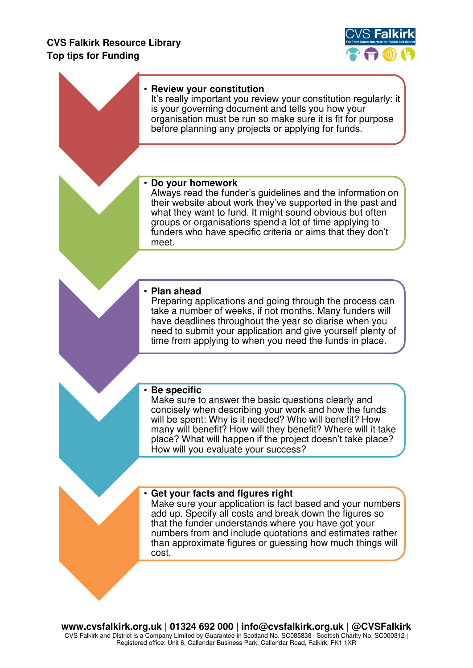## **CVS Falkirk Resource Library Top tips for Funding**



| • Review your constitution<br>It's really important you review your constitution regularly: it<br>is your governing document and tells you how your<br>organisation must be run so make sure it is fit for purpose<br>before planning any projects or applying for funds.                                                                                    |
|--------------------------------------------------------------------------------------------------------------------------------------------------------------------------------------------------------------------------------------------------------------------------------------------------------------------------------------------------------------|
|                                                                                                                                                                                                                                                                                                                                                              |
| Do your homework<br>Always read the funder's guidelines and the information on<br>their website about work they've supported in the past and<br>what they want to fund. It might sound obvious but often<br>groups or organisations spend a lot of time applying to<br>funders who have specific criteria or aims that they don't<br>meet.                   |
|                                                                                                                                                                                                                                                                                                                                                              |
| • Plan ahead<br>Preparing applications and going through the process can<br>take a number of weeks, if not months. Many funders will<br>have deadlines throughout the year so diarise when you<br>need to submit your application and give yourself plenty of<br>time from applying to when you need the funds in place.                                     |
|                                                                                                                                                                                                                                                                                                                                                              |
| • Be specific<br>Make sure to answer the basic questions clearly and<br>concisely when describing your work and how the funds<br>will be spent: Why is it needed? Who will benefit? How<br>many will benefit? How will they benefit? Where will it take<br>place? What will happen if the project doesn't take place?<br>How will you evaluate your success? |
|                                                                                                                                                                                                                                                                                                                                                              |
| • Get your facts and figures right<br>Make sure your application is fact based and your numbers<br>add up. Specify all costs and break down the figures so<br>that the funder understands where you have got your<br>numbers from and include quotations and estimates rather<br>than approximate figures or guessing how much things will<br>cost.          |
|                                                                                                                                                                                                                                                                                                                                                              |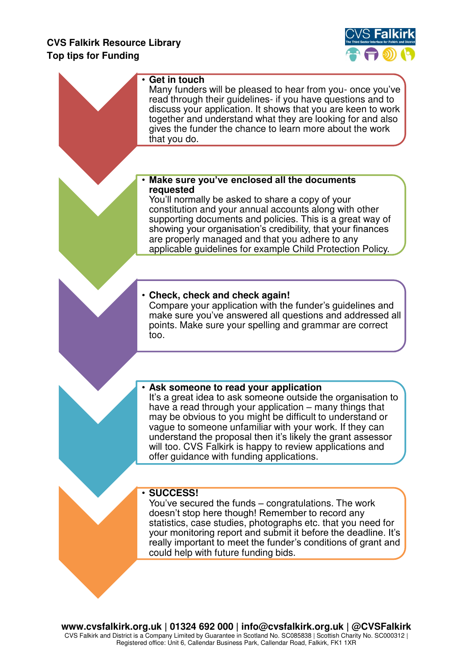## **CVS Falkirk Resource Library Top tips for Funding**

an i



| $\cdot$ Get in touch<br>Many funders will be pleased to hear from you- once you've<br>read through their guidelines- if you have questions and to<br>discuss your application. It shows that you are keen to work<br>together and understand what they are looking for and also<br>gives the funder the chance to learn more about the work<br>that you do.                                                                                                        |
|--------------------------------------------------------------------------------------------------------------------------------------------------------------------------------------------------------------------------------------------------------------------------------------------------------------------------------------------------------------------------------------------------------------------------------------------------------------------|
|                                                                                                                                                                                                                                                                                                                                                                                                                                                                    |
| Make sure you've enclosed all the documents<br>requested<br>You'll normally be asked to share a copy of your<br>constitution and your annual accounts along with other<br>supporting documents and policies. This is a great way of<br>showing your organisation's credibility, that your finances<br>are properly managed and that you adhere to any<br>applicable guidelines for example Child Protection Policy.                                                |
| • Check, check and check again!<br>Compare your application with the funder's guidelines and<br>make sure you've answered all questions and addressed all<br>points. Make sure your spelling and grammar are correct<br>too.                                                                                                                                                                                                                                       |
|                                                                                                                                                                                                                                                                                                                                                                                                                                                                    |
| . Ask someone to read your application<br>It's a great idea to ask someone outside the organisation to<br>have a read through your application – many things that<br>may be obvious to you might be difficult to understand or<br>vague to someone unfamiliar with your work. If they can<br>understand the proposal then it's likely the grant assessor<br>will too. CVS Falkirk is happy to review applications and<br>offer guidance with funding applications. |
|                                                                                                                                                                                                                                                                                                                                                                                                                                                                    |
| · SUCCESS!<br>You've secured the funds – congratulations. The work<br>doesn't stop here though! Remember to record any<br>statistics, case studies, photographs etc. that you need for<br>your monitoring report and submit it before the deadline. It's<br>really important to meet the funder's conditions of grant and<br>could help with future funding bids.                                                                                                  |
|                                                                                                                                                                                                                                                                                                                                                                                                                                                                    |